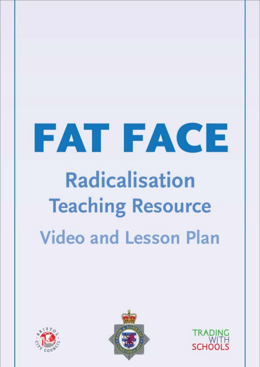# FAT FACE **Radicalisation Teaching Resource Video and Lesson Plan**





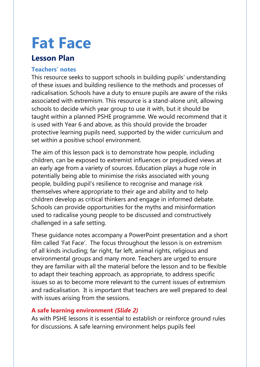# **Fat Face**

### **Lesson Plan**

#### **Teachers' notes**

This resource seeks to support schools in building pupils' understanding of these issues and building resilience to the methods and processes of radicalisation. Schools have a duty to ensure pupils are aware of the risks associated with extremism. This resource is a stand-alone unit, allowing schools to decide which year group to use it with, but it should be taught within a planned PSHE programme. We would recommend that it is used with Year 6 and above, as this should provide the broader protective learning pupils need, supported by the wider curriculum and set within a positive school environment.

The aim of this lesson pack is to demonstrate how people, including children, can be exposed to extremist influences or prejudiced views at an early age from a variety of sources. Education plays a huge role in potentially being able to minimise the risks associated with young people, building pupil's resilience to recognise and manage risk themselves where appropriate to their age and ability and to help children develop as critical thinkers and engage in informed debate. Schools can provide opportunities for the myths and misinformation used to radicalise young people to be discussed and constructively challenged in a safe setting.

These guidance notes accompany a PowerPoint presentation and a short film called 'Fat Face'. The focus throughout the lesson is on extremism of all kinds including; far right, far left, animal rights, religious and environmental groups and many more. Teachers are urged to ensure they are familiar with all the material before the lesson and to be flexible to adapt their teaching approach, as appropriate, to address specific issues so as to become more relevant to the current issues of extremism and radicalisation. It is important that teachers are well prepared to deal with issues arising from the sessions.

#### **A safe learning environment** *(Slide 2)*

As with PSHE lessons it is essential to establish or reinforce ground rules for discussions. A safe learning environment helps pupils feel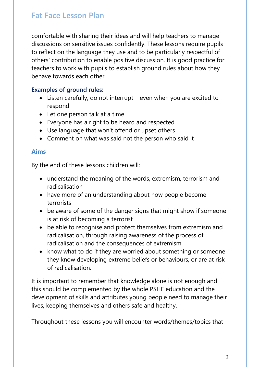comfortable with sharing their ideas and will help teachers to manage discussions on sensitive issues confidently. These lessons require pupils to reflect on the language they use and to be particularly respectful of others' contribution to enable positive discussion. It is good practice for teachers to work with pupils to establish ground rules about how they behave towards each other.

#### **Examples of ground rules:**

- Listen carefully; do not interrupt even when you are excited to respond
- Let one person talk at a time
- Everyone has a right to be heard and respected
- Use language that won't offend or upset others
- Comment on what was said not the person who said it

#### **Aims**

By the end of these lessons children will:

- understand the meaning of the words, extremism, terrorism and radicalisation
- have more of an understanding about how people become terrorists
- be aware of some of the danger signs that might show if someone is at risk of becoming a terrorist
- be able to recognise and protect themselves from extremism and radicalisation, through raising awareness of the process of radicalisation and the consequences of extremism
- know what to do if they are worried about something or someone they know developing extreme beliefs or behaviours, or are at risk of radicalisation.

It is important to remember that knowledge alone is not enough and this should be complemented by the whole PSHE education and the development of skills and attributes young people need to manage their lives, keeping themselves and others safe and healthy.

Throughout these lessons you will encounter words/themes/topics that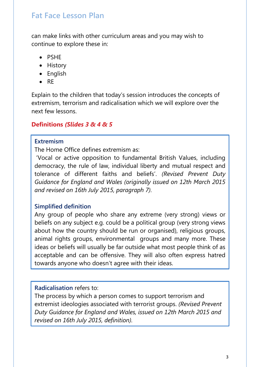can make links with other curriculum areas and you may wish to continue to explore these in:

- PSHE
- History
- English
- RE

Explain to the children that today's session introduces the concepts of extremism, terrorism and radicalisation which we will explore over the next few lessons.

#### **Definitions** *(Slides 3 & 4 & 5*

#### **Extremism**

The Home Office defines extremism as:

'Vocal or active opposition to fundamental British Values, including democracy, the rule of law, individual liberty and mutual respect and tolerance of different faiths and beliefs'. *(Revised Prevent Duty Guidance for England and Wales (originally issued on 12th March 2015 and revised on 16th July 2015, paragraph 7).*

#### **Simplified definition**

Any group of people who share any extreme (very strong) views or beliefs on any subject e.g. could be a political group (very strong views about how the country should be run or organised), religious groups, animal rights groups, environmental groups and many more. These ideas or beliefs will usually be far outside what most people think of as acceptable and can be offensive. They will also often express hatred towards anyone who doesn't agree with their ideas.

#### **Radicalisation** refers to:

The process by which a person comes to support terrorism and extremist ideologies associated with terrorist groups. *(Revised Prevent Duty Guidance for England and Wales, issued on 12th March 2015 and revised on 16th July 2015, definition).*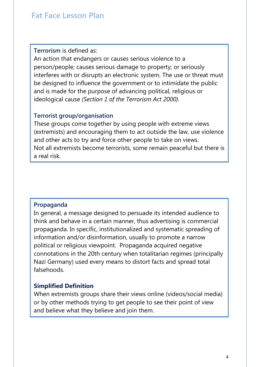**Terrorism** is defined as:

An action that endangers or causes serious violence to a person/people; causes serious damage to property; or seriously interferes with or disrupts an electronic system. The use or threat must be designed to influence the government or to intimidate the public and is made for the purpose of advancing political, religious or ideological cause *(Section 1 of the Terrorism Act 2000).*

#### **Terrorist group/organisation**

These groups come together by using people with extreme views (extremists) and encouraging them to act outside the law, use violence and other acts to try and force other people to take on views. Not all extremists become terrorists, some remain peaceful but there is a real risk.

#### **Propaganda**

In general, a message designed to persuade its intended audience to think and behave in a certain manner, thus advertising is commercial propaganda. In specific, institutionalized and systematic spreading of information and/or disinformation, usually to promote a narrow political or religious viewpoint. Propaganda acquired negative connotations in the 20th century when totalitarian regimes (principally Nazi Germany) used every means to distort facts and spread total falsehoods.

#### **Simplified Definition**

When extremists groups share their views online (videos/social media) or by other methods trying to get people to see their point of view and believe what they believe and join them.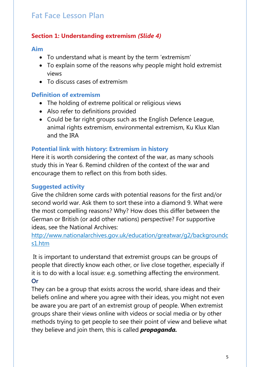#### **Section 1: Understanding extremism** *(Slide 4)*

#### **Aim**

- To understand what is meant by the term 'extremism'
- To explain some of the reasons why people might hold extremist views
- To discuss cases of extremism

#### **Definition of extremism**

- The holding of extreme political or religious views
- Also refer to definitions provided
- Could be far right groups such as the English Defence League, animal rights extremism, environmental extremism, Ku Klux Klan and the IRA

#### **Potential link with history: Extremism in history**

Here it is worth considering the context of the war, as many schools study this in Year 6. Remind children of the context of the war and encourage them to reflect on this from both sides.

#### **Suggested activity**

Give the children some cards with potential reasons for the first and/or second world war. Ask them to sort these into a diamond 9. What were the most compelling reasons? Why? How does this differ between the German or British (or add other nations) perspective? For supportive ideas, see the National Archives:

[http://www.nationalarchives.gov.uk/education/greatwar/g2/backgroundc](http://www.nationalarchives.gov.uk/education/greatwar/g2/backgroundcs1.htm) [s1.htm](http://www.nationalarchives.gov.uk/education/greatwar/g2/backgroundcs1.htm)

It is important to understand that extremist groups can be groups of people that directly know each other, or live close together, especially if it is to do with a local issue: e.g. something affecting the environment. **Or**

They can be a group that exists across the world, share ideas and their beliefs online and where you agree with their ideas, you might not even be aware you are part of an extremist group of people. When extremist groups share their views online with videos or social media or by other methods trying to get people to see their point of view and believe what they believe and join them, this is called *propaganda.*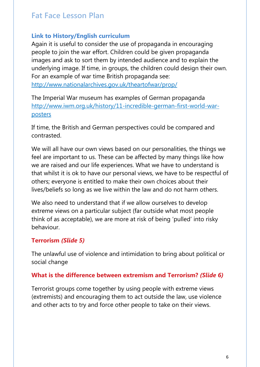#### **Link to History/English curriculum**

Again it is useful to consider the use of propaganda in encouraging people to join the war effort. Children could be given propaganda images and ask to sort them by intended audience and to explain the underlying image. If time, in groups, the children could design their own. For an example of war time British propaganda see: <http://www.nationalarchives.gov.uk/theartofwar/prop/>

The Imperial War museum has examples of German propaganda [http://www.iwm.org.uk/history/11-incredible-german-first-world-war](http://www.iwm.org.uk/history/11-incredible-german-first-world-war-posters)[posters](http://www.iwm.org.uk/history/11-incredible-german-first-world-war-posters)

If time, the British and German perspectives could be compared and contrasted.

We will all have our own views based on our personalities, the things we feel are important to us. These can be affected by many things like how we are raised and our life experiences. What we have to understand is that whilst it is ok to have our personal views, we have to be respectful of others; everyone is entitled to make their own choices about their lives/beliefs so long as we live within the law and do not harm others.

We also need to understand that if we allow ourselves to develop extreme views on a particular subject (far outside what most people think of as acceptable), we are more at risk of being 'pulled' into risky behaviour.

#### **Terrorism** *(Slide 5)*

The unlawful use of violence and intimidation to bring about political or social change

#### **What is the difference between extremism and Terrorism?** *(Slide 6)*

Terrorist groups come together by using people with extreme views (extremists) and encouraging them to act outside the law, use violence and other acts to try and force other people to take on their views.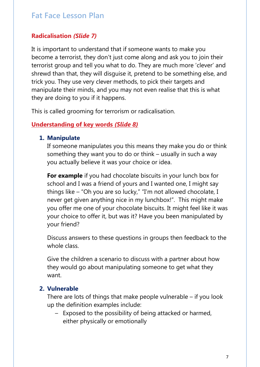#### **Radicalisation** *(Slide 7)*

It is important to understand that if someone wants to make you become a terrorist, they don't just come along and ask you to join their terrorist group and tell you what to do. They are much more 'clever' and shrewd than that, they will disguise it, pretend to be something else, and trick you. They use very clever methods, to pick their targets and manipulate their minds, and you may not even realise that this is what they are doing to you if it happens.

This is called grooming for terrorism or radicalisation.

#### **Understanding of key words** *(Slide 8)*

#### **1. Manipulate**

If someone manipulates you this means they make you do or think something they want you to do or think – usually in such a way you actually believe it was your choice or idea.

**For example** if you had chocolate biscuits in your lunch box for school and I was a friend of yours and I wanted one, I might say things like – "Oh you are so lucky," "I'm not allowed chocolate, I never get given anything nice in my lunchbox!". This might make you offer me one of your chocolate biscuits. It might feel like it was your choice to offer it, but was it? Have you been manipulated by your friend?

Discuss answers to these questions in groups then feedback to the whole class.

Give the children a scenario to discuss with a partner about how they would go about manipulating someone to get what they want.

#### **2. Vulnerable**

There are lots of things that make people vulnerable – if you look up the definition examples include:

– Exposed to the possibility of being attacked or harmed, either physically or emotionally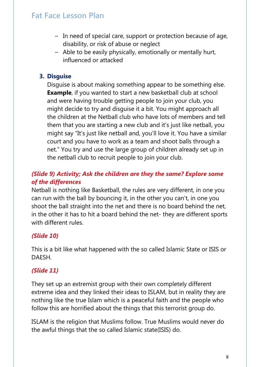- In need of special care, support or protection because of age, disability, or risk of abuse or neglect
- Able to be easily physically, emotionally or mentally hurt, influenced or attacked

#### **3. Disguise**

Disguise is about making something appear to be something else. **Example**, if you wanted to start a new basketball club at school and were having trouble getting people to join your club, you might decide to try and disguise it a bit. You might approach all the children at the Netball club who have lots of members and tell them that you are starting a new club and it's just like netball, you might say "It's just like netball and, you'll love it. You have a similar court and you have to work as a team and shoot balls through a net." You try and use the large group of children already set up in the netball club to recruit people to join your club.

#### *(Slide 9) Activity; Ask the children are they the same? Explore some of the differences*

Netball is nothing like Basketball, the rules are very different, in one you can run with the ball by bouncing it, in the other you can't, in one you shoot the ball straight into the net and there is no board behind the net, in the other it has to hit a board behind the net- they are different sports with different rules

#### *(Slide 10)*

This is a bit like what happened with the so called Islamic State or ISIS or DAESH.

#### *(Slide 11)*

They set up an extremist group with their own completely different extreme idea and they linked their ideas to ISLAM, but in reality they are nothing like the true Islam which is a peaceful faith and the people who follow this are horrified about the things that this terrorist group do.

ISLAM is the religion that Muslims follow. True Muslims would never do the awful things that the so called Islamic state(ISIS) do.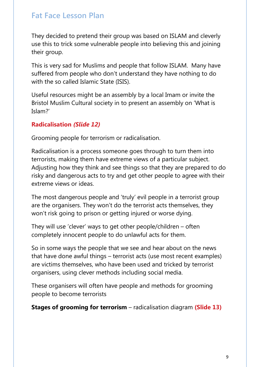They decided to pretend their group was based on ISLAM and cleverly use this to trick some vulnerable people into believing this and joining their group.

This is very sad for Muslims and people that follow ISLAM. Many have suffered from people who don't understand they have nothing to do with the so called Islamic State (ISIS).

Useful resources might be an assembly by a local Imam or invite the Bristol Muslim Cultural society in to present an assembly on 'What is Islam?'

#### **Radicalisation** *(Slide 12)*

Grooming people for terrorism or radicalisation.

Radicalisation is a process someone goes through to turn them into terrorists, making them have extreme views of a particular subject. Adjusting how they think and see things so that they are prepared to do risky and dangerous acts to try and get other people to agree with their extreme views or ideas.

The most dangerous people and 'truly' evil people in a terrorist group are the organisers. They won't do the terrorist acts themselves, they won't risk going to prison or getting injured or worse dying.

They will use 'clever' ways to get other people/children – often completely innocent people to do unlawful acts for them.

So in some ways the people that we see and hear about on the news that have done awful things – terrorist acts (use most recent examples) are victims themselves, who have been used and tricked by terrorist organisers, using clever methods including social media.

These organisers will often have people and methods for grooming people to become terrorists

**Stages of grooming for terrorism** – radicalisation diagram **(Slide 13)**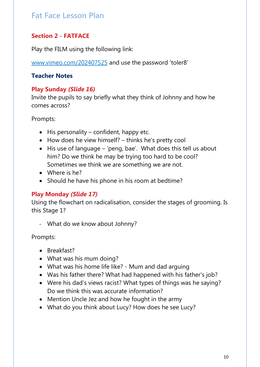#### **Section 2 - FATFACE**

Play the FILM using the following link:

[www.vimeo.com/202407525](http://www.vimeo.com/202407525) and use the password 'toler8'

#### **Teacher Notes**

#### **Play Sunday** *(Slide 16)*

Invite the pupils to say briefly what they think of Johnny and how he comes across?

Prompts:

- His personality confident, happy etc.
- How does he view himself? thinks he's pretty cool
- His use of language 'peng, bae'. What does this tell us about him? Do we think he may be trying too hard to be cool? Sometimes we think we are something we are not.
- Where is he?
- Should he have his phone in his room at bedtime?

#### **Play Monday** *(Slide 17)*

Using the flowchart on radicalisation, consider the stages of grooming. Is this Stage 1?

- What do we know about Johnny?

Prompts:

- Breakfast?
- What was his mum doing?
- What was his home life like? Mum and dad arguing
- Was his father there? What had happened with his father's job?
- Were his dad's views racist? What types of things was he saying? Do we think this was accurate information?
- Mention Uncle Jez and how he fought in the army
- What do you think about Lucy? How does he see Lucy?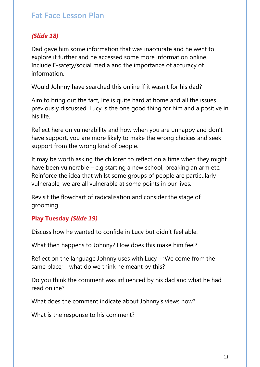#### *(Slide 18)*

Dad gave him some information that was inaccurate and he went to explore it further and he accessed some more information online. Include E-safety/social media and the importance of accuracy of information.

Would Johnny have searched this online if it wasn't for his dad?

Aim to bring out the fact, life is quite hard at home and all the issues previously discussed. Lucy is the one good thing for him and a positive in his life.

Reflect here on vulnerability and how when you are unhappy and don't have support, you are more likely to make the wrong choices and seek support from the wrong kind of people.

It may be worth asking the children to reflect on a time when they might have been vulnerable – e.g starting a new school, breaking an arm etc. Reinforce the idea that whilst some groups of people are particularly vulnerable, we are all vulnerable at some points in our lives.

Revisit the flowchart of radicalisation and consider the stage of grooming

#### **Play Tuesday** *(Slide 19)*

Discuss how he wanted to confide in Lucy but didn't feel able.

What then happens to Johnny? How does this make him feel?

Reflect on the language Johnny uses with Lucy – 'We come from the same place; – what do we think he meant by this?

Do you think the comment was influenced by his dad and what he had read online?

What does the comment indicate about Johnny's views now?

What is the response to his comment?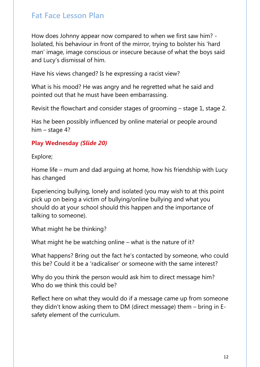How does Johnny appear now compared to when we first saw him? - Isolated, his behaviour in front of the mirror, trying to bolster his 'hard man' image, image conscious or insecure because of what the boys said and Lucy's dismissal of him.

Have his views changed? Is he expressing a racist view?

What is his mood? He was angry and he regretted what he said and pointed out that he must have been embarrassing.

Revisit the flowchart and consider stages of grooming – stage 1, stage 2.

Has he been possibly influenced by online material or people around him – stage 4?

#### **Play Wednesday** *(Slide 20)*

Explore;

Home life – mum and dad arguing at home, how his friendship with Lucy has changed

Experiencing bullying, lonely and isolated (you may wish to at this point pick up on being a victim of bullying/online bullying and what you should do at your school should this happen and the importance of talking to someone).

What might he be thinking?

What might he be watching online – what is the nature of it?

What happens? Bring out the fact he's contacted by someone, who could this be? Could it be a 'radicaliser' or someone with the same interest?

Why do you think the person would ask him to direct message him? Who do we think this could be?

Reflect here on what they would do if a message came up from someone they didn't know asking them to DM (direct message) them – bring in Esafety element of the curriculum.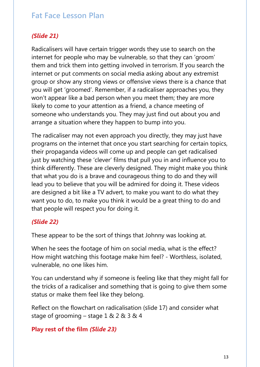#### *(Slide 21)*

Radicalisers will have certain trigger words they use to search on the internet for people who may be vulnerable, so that they can 'groom' them and trick them into getting involved in terrorism. If you search the internet or put comments on social media asking about any extremist group or show any strong views or offensive views there is a chance that you will get 'groomed'. Remember, if a radicaliser approaches you, they won't appear like a bad person when you meet them; they are more likely to come to your attention as a friend, a chance meeting of someone who understands you. They may just find out about you and arrange a situation where they happen to bump into you.

The radicaliser may not even approach you directly, they may just have programs on the internet that once you start searching for certain topics, their propaganda videos will come up and people can get radicalised just by watching these 'clever' films that pull you in and influence you to think differently. These are cleverly designed. They might make you think that what you do is a brave and courageous thing to do and they will lead you to believe that you will be admired for doing it. These videos are designed a bit like a TV advert, to make you want to do what they want you to do, to make you think it would be a great thing to do and that people will respect you for doing it.

#### *(Slide 22)*

These appear to be the sort of things that Johnny was looking at.

When he sees the footage of him on social media, what is the effect? How might watching this footage make him feel? - Worthless, isolated, vulnerable, no one likes him.

You can understand why if someone is feeling like that they might fall for the tricks of a radicaliser and something that is going to give them some status or make them feel like they belong.

Reflect on the flowchart on radicalisation (slide 17) and consider what stage of grooming – stage 1 & 2 & 3 & 4

#### **Play rest of the film** *(Slide 23)*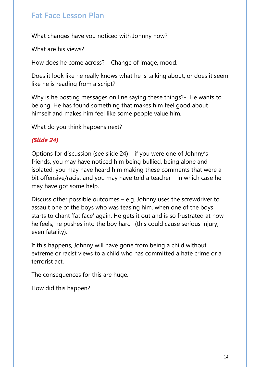What changes have you noticed with Johnny now?

What are his views?

How does he come across? – Change of image, mood.

Does it look like he really knows what he is talking about, or does it seem like he is reading from a script?

Why is he posting messages on line saying these things? He wants to belong. He has found something that makes him feel good about himself and makes him feel like some people value him.

What do you think happens next?

#### *(Slide 24)*

Options for discussion (see slide 24) – if you were one of Johnny's friends, you may have noticed him being bullied, being alone and isolated, you may have heard him making these comments that were a bit offensive/racist and you may have told a teacher – in which case he may have got some help.

Discuss other possible outcomes – e.g. Johnny uses the screwdriver to assault one of the boys who was teasing him, when one of the boys starts to chant 'fat face' again. He gets it out and is so frustrated at how he feels, he pushes into the boy hard- (this could cause serious injury, even fatality).

If this happens, Johnny will have gone from being a child without extreme or racist views to a child who has committed a hate crime or a terrorist act.

The consequences for this are huge.

How did this happen?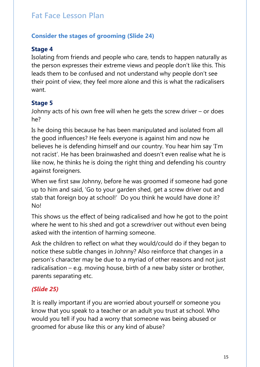#### **Consider the stages of grooming (Slide 24)**

#### **Stage 4**

Isolating from friends and people who care, tends to happen naturally as the person expresses their extreme views and people don't like this. This leads them to be confused and not understand why people don't see their point of view, they feel more alone and this is what the radicalisers want.

#### **Stage 5**

Johnny acts of his own free will when he gets the screw driver – or does he?

Is he doing this because he has been manipulated and isolated from all the good influences? He feels everyone is against him and now he believes he is defending himself and our country. You hear him say 'I'm not racist'. He has been brainwashed and doesn't even realise what he is like now, he thinks he is doing the right thing and defending his country against foreigners.

When we first saw Johnny, before he was groomed if someone had gone up to him and said, 'Go to your garden shed, get a screw driver out and stab that foreign boy at school!' Do you think he would have done it? No!

This shows us the effect of being radicalised and how he got to the point where he went to his shed and got a screwdriver out without even being asked with the intention of harming someone.

Ask the children to reflect on what they would/could do if they began to notice these subtle changes in Johnny? Also reinforce that changes in a person's character may be due to a myriad of other reasons and not just radicalisation – e.g. moving house, birth of a new baby sister or brother, parents separating etc.

#### *(Slide 25)*

It is really important if you are worried about yourself or someone you know that you speak to a teacher or an adult you trust at school. Who would you tell if you had a worry that someone was being abused or groomed for abuse like this or any kind of abuse?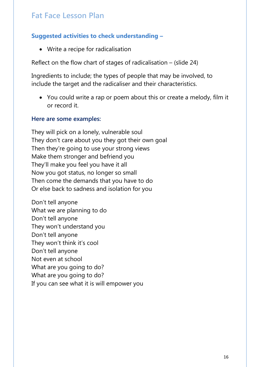#### **Suggested activities to check understanding –**

• Write a recipe for radicalisation

Reflect on the flow chart of stages of radicalisation – (slide 24)

Ingredients to include; the types of people that may be involved, to include the target and the radicaliser and their characteristics.

• You could write a rap or poem about this or create a melody, film it or record it.

#### **Here are some examples:**

They will pick on a lonely, vulnerable soul They don't care about you they got their own goal Then they're going to use your strong views Make them stronger and befriend you They'll make you feel you have it all Now you got status, no longer so small Then come the demands that you have to do Or else back to sadness and isolation for you

Don't tell anyone What we are planning to do Don't tell anyone They won't understand you Don't tell anyone They won't think it's cool Don't tell anyone Not even at school What are you going to do? What are you going to do? If you can see what it is will empower you